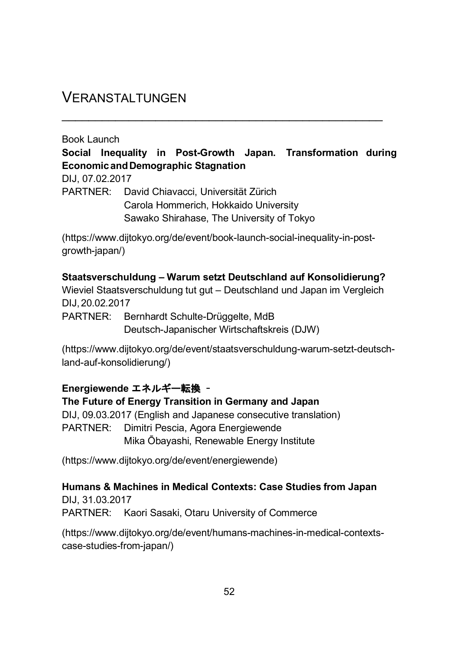# **VERANSTALTUNGEN**

Book Launch

### **Social Inequality in Post-Growth Japan. Transformation during EconomicandDemographic Stagnation**

 $\mathcal{L}_\text{max}$  and  $\mathcal{L}_\text{max}$  and  $\mathcal{L}_\text{max}$  and  $\mathcal{L}_\text{max}$ 

DIJ, 07.02.2017

PARTNER: David Chiavacci, Universität Zürich Carola Hommerich, Hokkaido University Sawako Shirahase, The University of Tokyo

(https://www.dijtokyo.org/de/event/book-launch-social-inequality-in-postgrowth-japan/)

### **Staatsverschuldung – Warum setzt Deutschland auf Konsolidierung?**

Wieviel Staatsverschuldung tut gut – Deutschland und Japan im Vergleich DIJ, 20.02.2017

PARTNER: Bernhardt Schulte-Drüggelte, MdB Deutsch-Japanischer Wirtschaftskreis (DJW)

(https://www.dijtokyo.org/de/event/staatsverschuldung-warum-setzt-deutschland-auf-konsolidierung/)

# **Energiewende** エネルギー転換 –

**The Future of Energy Transition in Germany and Japan** DIJ, 09.03.2017 (English and Japanese consecutive translation) PARTNER: Dimitri Pescia, Agora Energiewende Mika Ōbayashi, Renewable Energy Institute

(https://www.dijtokyo.org/de/event/energiewende)

# **Humans & Machines in Medical Contexts: Case Studies from Japan**

DIJ, 31.03.2017 PARTNER: Kaori Sasaki, Otaru University of Commerce

(https://www.dijtokyo.org/de/event/humans-machines-in-medical-contextscase-studies-from-japan/)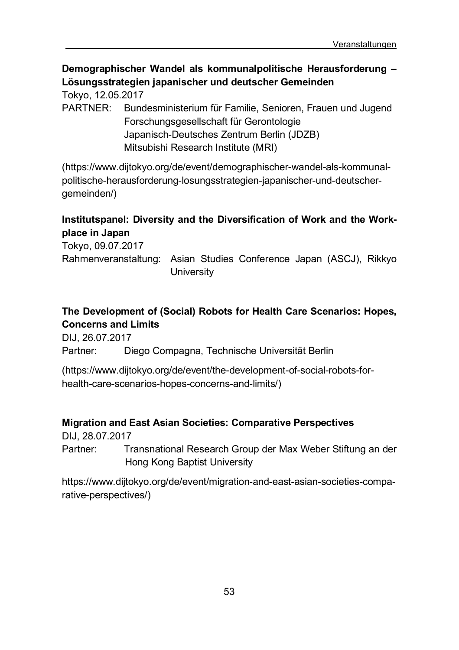# **Demographischer Wandel als kommunalpolitische Herausforderung – Lösungsstrategien japanischer und deutscher Gemeinden**

Tokyo, 12.05.2017

PARTNER: Bundesministerium für Familie, Senioren, Frauen und Jugend Forschungsgesellschaft für Gerontologie Japanisch-Deutsches Zentrum Berlin (JDZB) Mitsubishi Research Institute (MRI)

(https://www.dijtokyo.org/de/event/demographischer-wandel-als-kommunalpolitische-herausforderung-losungsstrategien-japanischer-und-deutschergemeinden/)

### **Institutspanel: Diversity and the Diversification of Work and the Workplace in Japan**

Tokyo, 09.07.2017 Rahmenveranstaltung: Asian Studies Conference Japan (ASCJ), Rikkyo **University** 

### **The Development of (Social) Robots for Health Care Scenarios: Hopes, Concerns and Limits**

DIJ, 26.07.2017 Partner: Diego Compagna, Technische Universität Berlin

(https://www.dijtokyo.org/de/event/the-development-of-social-robots-forhealth-care-scenarios-hopes-concerns-and-limits/)

### **Migration and East Asian Societies: Comparative Perspectives**

DIJ, 28.07.2017

Partner: Transnational Research Group der Max Weber Stiftung an der Hong Kong Baptist University

https://www.dijtokyo.org/de/event/migration-and-east-asian-societies-comparative-perspectives/)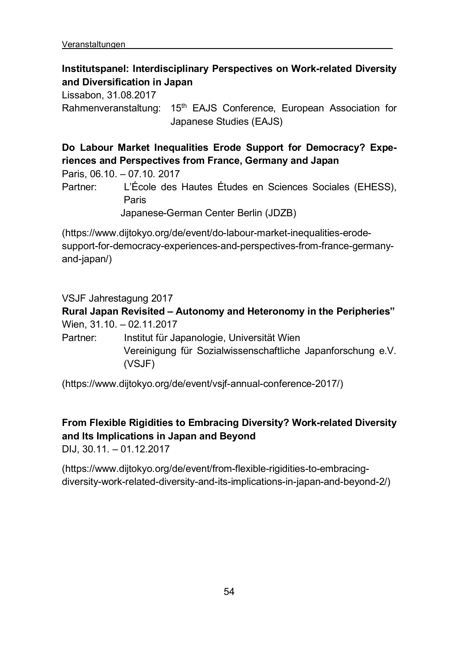### **Institutspanel: Interdisciplinary Perspectives on Work-related Diversity and Diversification in Japan**

Lissabon, 31.08.2017

Rahmenveranstaltung: 15th EAJS Conference, European Association for Japanese Studies (EAJS)

# **Do Labour Market Inequalities Erode Support for Democracy? Experiences and Perspectives from France, Germany and Japan**

Paris, 06.10. – 07.10. 2017

Partner: L'École des Hautes Études en Sciences Sociales (EHESS), Paris

Japanese-German Center Berlin (JDZB)

(https://www.dijtokyo.org/de/event/do-labour-market-inequalities-erodesupport-for-democracy-experiences-and-perspectives-from-france-germanyand-japan/)

VSJF Jahrestagung 2017

#### **Rural Japan Revisited – Autonomy and Heteronomy in the Peripheries"** Wien, 31.10. – 02.11.2017

Partner: Institut für Japanologie, Universität Wien Vereinigung für Sozialwissenschaftliche Japanforschung e.V. (VSJF)

(https://www.dijtokyo.org/de/event/vsjf-annual-conference-2017/)

# **From Flexible Rigidities to Embracing Diversity? Work-related Diversity and Its Implications in Japan and Beyond**

DIJ, 30.11. – 01.12.2017

(https://www.dijtokyo.org/de/event/from-flexible-rigidities-to-embracingdiversity-work-related-diversity-and-its-implications-in-japan-and-beyond-2/)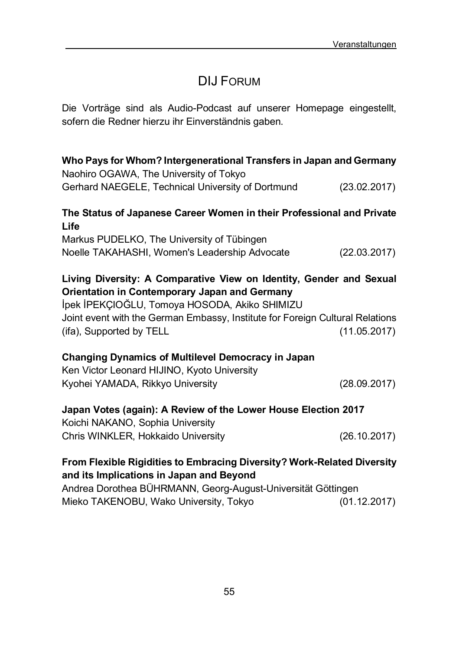# DIJ FORUM

Die Vorträge sind als Audio-Podcast auf unserer Homepage eingestellt, sofern die Redner hierzu ihr Einverständnis gaben.

| Who Pays for Whom? Intergenerational Transfers in Japan and Germany<br>Naohiro OGAWA, The University of Tokyo                                                         |              |  |
|-----------------------------------------------------------------------------------------------------------------------------------------------------------------------|--------------|--|
| Gerhard NAEGELE, Technical University of Dortmund                                                                                                                     | (23.02.2017) |  |
| The Status of Japanese Career Women in their Professional and Private<br>Life                                                                                         |              |  |
| Markus PUDELKO, The University of Tübingen                                                                                                                            |              |  |
| Noelle TAKAHASHI, Women's Leadership Advocate                                                                                                                         | (22.03.2017) |  |
| Living Diversity: A Comparative View on Identity, Gender and Sexual<br>Orientation in Contemporary Japan and Germany<br>İpek İPEKÇIOĞLU, Tomoya HOSODA, Akiko SHIMIZU |              |  |
| Joint event with the German Embassy, Institute for Foreign Cultural Relations                                                                                         |              |  |
| (ifa), Supported by TELL                                                                                                                                              | (11.05.2017) |  |
| <b>Changing Dynamics of Multilevel Democracy in Japan</b><br>Ken Victor Leonard HIJINO, Kyoto University                                                              |              |  |
| Kyohei YAMADA, Rikkyo University                                                                                                                                      | (28.09.2017) |  |
| Japan Votes (again): A Review of the Lower House Election 2017<br>Koichi NAKANO, Sophia University                                                                    |              |  |
| Chris WINKLER, Hokkaido University                                                                                                                                    | (26.10.2017) |  |
| From Flexible Rigidities to Embracing Diversity? Work-Related Diversity<br>and its Implications in Japan and Beyond                                                   |              |  |
| Andrea Dorothea BÜHRMANN, Georg-August-Universität Göttingen                                                                                                          |              |  |
| Mieko TAKENOBU, Wako University, Tokyo                                                                                                                                | (01.12.2017) |  |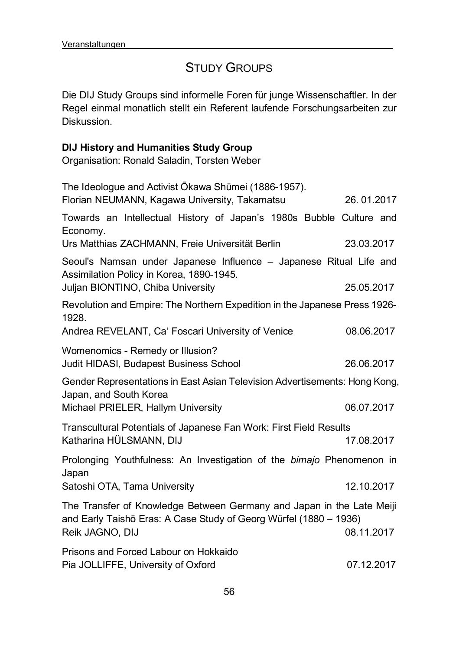# STUDY GROUPS

Die DIJ Study Groups sind informelle Foren für junge Wissenschaftler. In der Regel einmal monatlich stellt ein Referent laufende Forschungsarbeiten zur Diskussion.

#### **DIJ History and Humanities Study Group**

Organisation: Ronald Saladin, Torsten Weber

| The Ideologue and Activist Okawa Shūmei (1886-1957).                                                                                       |            |  |
|--------------------------------------------------------------------------------------------------------------------------------------------|------------|--|
| Florian NEUMANN, Kagawa University, Takamatsu                                                                                              | 26.01.2017 |  |
| Towards an Intellectual History of Japan's 1980s Bubble Culture and<br>Economy.<br>Urs Matthias ZACHMANN, Freie Universität Berlin         | 23.03.2017 |  |
|                                                                                                                                            |            |  |
| Seoul's Namsan under Japanese Influence - Japanese Ritual Life and<br>Assimilation Policy in Korea, 1890-1945.                             |            |  |
| Juljan BIONTINO, Chiba University                                                                                                          | 25.05.2017 |  |
| Revolution and Empire: The Northern Expedition in the Japanese Press 1926-<br>1928.                                                        |            |  |
| Andrea REVELANT, Ca' Foscari University of Venice                                                                                          | 08.06.2017 |  |
| Womenomics - Remedy or Illusion?                                                                                                           |            |  |
| Judit HIDASI, Budapest Business School                                                                                                     | 26.06.2017 |  |
| Gender Representations in East Asian Television Advertisements: Hong Kong,<br>Japan, and South Korea                                       |            |  |
| Michael PRIELER, Hallym University                                                                                                         | 06.07.2017 |  |
| Transcultural Potentials of Japanese Fan Work: First Field Results                                                                         |            |  |
| Katharina HÜLSMANN, DIJ                                                                                                                    | 17.08.2017 |  |
| Prolonging Youthfulness: An Investigation of the bimajo Phenomenon in<br>Japan                                                             |            |  |
| Satoshi OTA, Tama University                                                                                                               | 12.10.2017 |  |
| The Transfer of Knowledge Between Germany and Japan in the Late Meiji<br>and Early Taishō Eras: A Case Study of Georg Würfel (1880 - 1936) |            |  |
| Reik JAGNO, DIJ                                                                                                                            | 08.11.2017 |  |
| Prisons and Forced Labour on Hokkaido                                                                                                      |            |  |
| Pia JOLLIFFE, University of Oxford                                                                                                         | 07.12.2017 |  |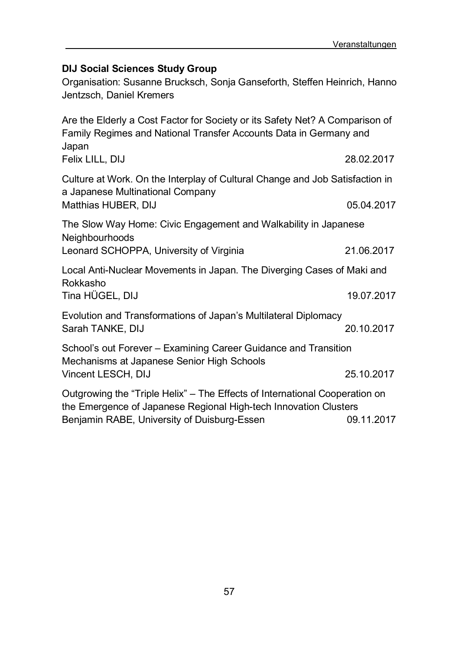# **DIJ Social Sciences Study Group** Organisation: Susanne Brucksch, Sonja Ganseforth, Steffen Heinrich, Hanno Jentzsch, Daniel Kremers Are the Elderly a Cost Factor for Society or its Safety Net? A Comparison of Family Regimes and National Transfer Accounts Data in Germany and Japan Felix LILL, DIJ 28.02.2017 Culture at Work. On the Interplay of Cultural Change and Job Satisfaction in a Japanese Multinational Company Matthias HUBER, DIJ 05.04.2017 The Slow Way Home: Civic Engagement and Walkability in Japanese **Neighbourhoods** Leonard SCHOPPA, University of Virginia 21.06.2017 Local Anti-Nuclear Movements in Japan. The Diverging Cases of Maki and Rokkasho Tina HÜGEL, DIJ 19.07.2017 Evolution and Transformations of Japan's Multilateral Diplomacy Sarah TANKE, DIJ 20.10.2017 School's out Forever – Examining Career Guidance and Transition Mechanisms at Japanese Senior High Schools Vincent LESCH, DIJ 25.10.2017 Outgrowing the "Triple Helix" – The Effects of International Cooperation on the Emergence of Japanese Regional High-tech Innovation Clusters Benjamin RABE, University of Duisburg-Essen 09.11.2017